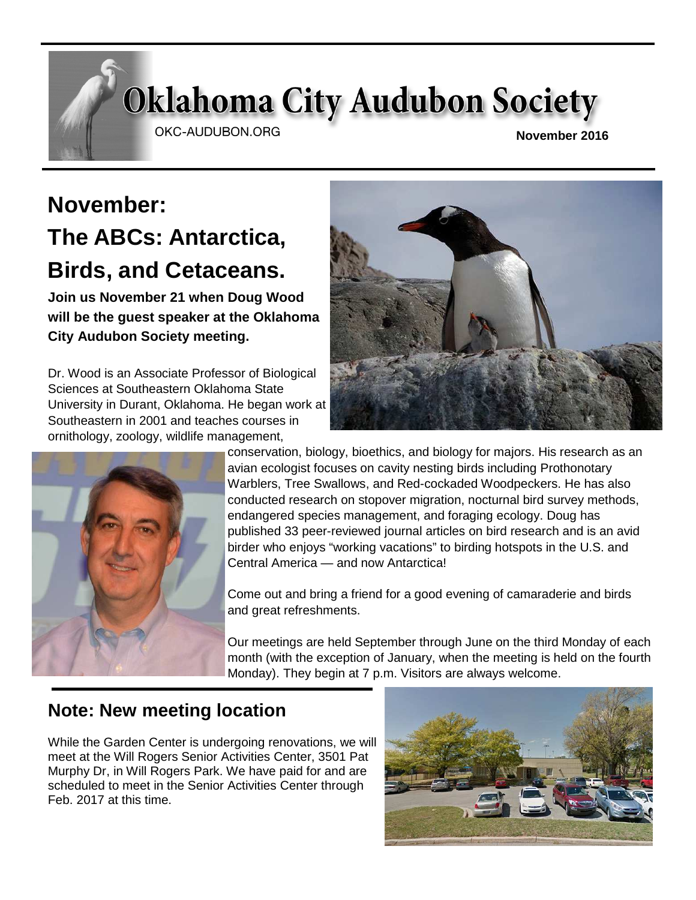# **Oklahoma City Audubon Society**

OKC-AUDUBON.ORG

**November 2016** 

# **November: The ABCs: Antarctica, Birds, and Cetaceans.**

**Join us November 21 when Doug Wood will be the guest speaker at the Oklahoma City Audubon Society meeting.** 

Dr. Wood is an Associate Professor of Biological Sciences at Southeastern Oklahoma State University in Durant, Oklahoma. He began work at Southeastern in 2001 and teaches courses in ornithology, zoology, wildlife management,





conservation, biology, bioethics, and biology for majors. His research as an avian ecologist focuses on cavity nesting birds including Prothonotary Warblers, Tree Swallows, and Red-cockaded Woodpeckers. He has also conducted research on stopover migration, nocturnal bird survey methods, endangered species management, and foraging ecology. Doug has published 33 peer-reviewed journal articles on bird research and is an avid birder who enjoys "working vacations" to birding hotspots in the U.S. and Central America — and now Antarctica!

Come out and bring a friend for a good evening of camaraderie and birds and great refreshments.

Our meetings are held September through June on the third Monday of each month (with the exception of January, when the meeting is held on the fourth Monday). They begin at 7 p.m. Visitors are always welcome.

# **Note: New meeting location**

While the Garden Center is undergoing renovations, we will meet at the Will Rogers Senior Activities Center, 3501 Pat Murphy Dr, in Will Rogers Park. We have paid for and are scheduled to meet in the Senior Activities Center through Feb. 2017 at this time.

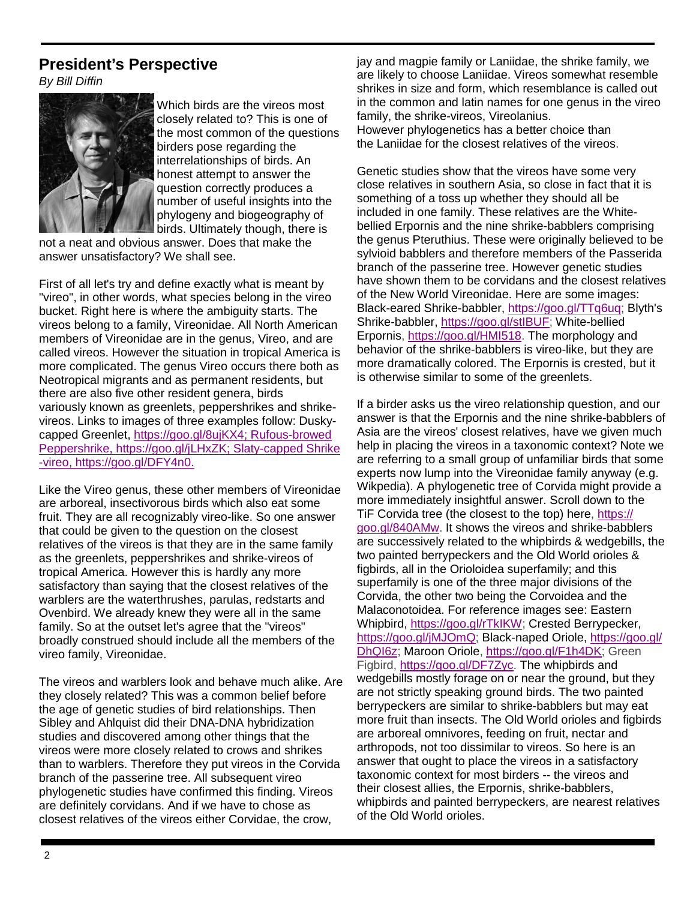### **President's Perspective**

By Bill Diffin



Which birds are the vireos most closely related to? This is one of the most common of the questions birders pose regarding the interrelationships of birds. An honest attempt to answer the question correctly produces a number of useful insights into the phylogeny and biogeography of birds. Ultimately though, there is

not a neat and obvious answer. Does that make the answer unsatisfactory? We shall see.

First of all let's try and define exactly what is meant by "vireo", in other words, what species belong in the vireo bucket. Right here is where the ambiguity starts. The vireos belong to a family, Vireonidae. All North American members of Vireonidae are in the genus, Vireo, and are called vireos. However the situation in tropical America is more complicated. The genus Vireo occurs there both as Neotropical migrants and as permanent residents, but there are also five other resident genera, birds variously known as greenlets, peppershrikes and shrikevireos. Links to images of three examples follow: Duskycapped Greenlet, https://goo.gl/8ujKX4; Rufous-browed Peppershrike, https://goo.gl/jLHxZK; Slaty-capped Shrike -vireo, https://goo.gl/DFY4n0.

Like the Vireo genus, these other members of Vireonidae are arboreal, insectivorous birds which also eat some fruit. They are all recognizably vireo-like. So one answer that could be given to the question on the closest relatives of the vireos is that they are in the same family as the greenlets, peppershrikes and shrike-vireos of tropical America. However this is hardly any more satisfactory than saying that the closest relatives of the warblers are the waterthrushes, parulas, redstarts and Ovenbird. We already knew they were all in the same family. So at the outset let's agree that the "vireos" broadly construed should include all the members of the vireo family, Vireonidae.

The vireos and warblers look and behave much alike. Are they closely related? This was a common belief before the age of genetic studies of bird relationships. Then Sibley and Ahlquist did their DNA-DNA hybridization studies and discovered among other things that the vireos were more closely related to crows and shrikes than to warblers. Therefore they put vireos in the Corvida branch of the passerine tree. All subsequent vireo phylogenetic studies have confirmed this finding. Vireos are definitely corvidans. And if we have to chose as closest relatives of the vireos either Corvidae, the crow,

jay and magpie family or Laniidae, the shrike family, we are likely to choose Laniidae. Vireos somewhat resemble shrikes in size and form, which resemblance is called out in the common and latin names for one genus in the vireo family, the shrike-vireos, Vireolanius. However phylogenetics has a better choice than the Laniidae for the closest relatives of the vireos.

Genetic studies show that the vireos have some very close relatives in southern Asia, so close in fact that it is something of a toss up whether they should all be included in one family. These relatives are the Whitebellied Erpornis and the nine shrike-babblers comprising the genus Pteruthius. These were originally believed to be sylvioid babblers and therefore members of the Passerida branch of the passerine tree. However genetic studies have shown them to be corvidans and the closest relatives of the New World Vireonidae. Here are some images: Black-eared Shrike-babbler, https://goo.gl/TTq6uq; Blyth's Shrike-babbler, https://goo.gl/stIBUF; White-bellied Erpornis, https://goo.gl/HMI518. The morphology and behavior of the shrike-babblers is vireo-like, but they are more dramatically colored. The Erpornis is crested, but it is otherwise similar to some of the greenlets.

If a birder asks us the vireo relationship question, and our answer is that the Erpornis and the nine shrike-babblers of Asia are the vireos' closest relatives, have we given much help in placing the vireos in a taxonomic context? Note we are referring to a small group of unfamiliar birds that some experts now lump into the Vireonidae family anyway (e.g. Wikpedia). A phylogenetic tree of Corvida might provide a more immediately insightful answer. Scroll down to the TiF Corvida tree (the closest to the top) here, https:// goo.gl/840AMw. It shows the vireos and shrike-babblers are successively related to the whipbirds & wedgebills, the two painted berrypeckers and the Old World orioles & figbirds, all in the Orioloidea superfamily; and this superfamily is one of the three major divisions of the Corvida, the other two being the Corvoidea and the Malaconotoidea. For reference images see: Eastern Whipbird, https://goo.gl/rTkIKW; Crested Berrypecker, https://goo.gl/jMJOmQ; Black-naped Oriole, https://goo.gl/ DhQI6z; Maroon Oriole, https://goo.gl/F1h4DK; Green Figbird, https://goo.gl/DF7Zyc. The whipbirds and wedgebills mostly forage on or near the ground, but they are not strictly speaking ground birds. The two painted berrypeckers are similar to shrike-babblers but may eat more fruit than insects. The Old World orioles and figbirds are arboreal omnivores, feeding on fruit, nectar and arthropods, not too dissimilar to vireos. So here is an answer that ought to place the vireos in a satisfactory taxonomic context for most birders -- the vireos and their closest allies, the Erpornis, shrike-babblers, whipbirds and painted berrypeckers, are nearest relatives of the Old World orioles.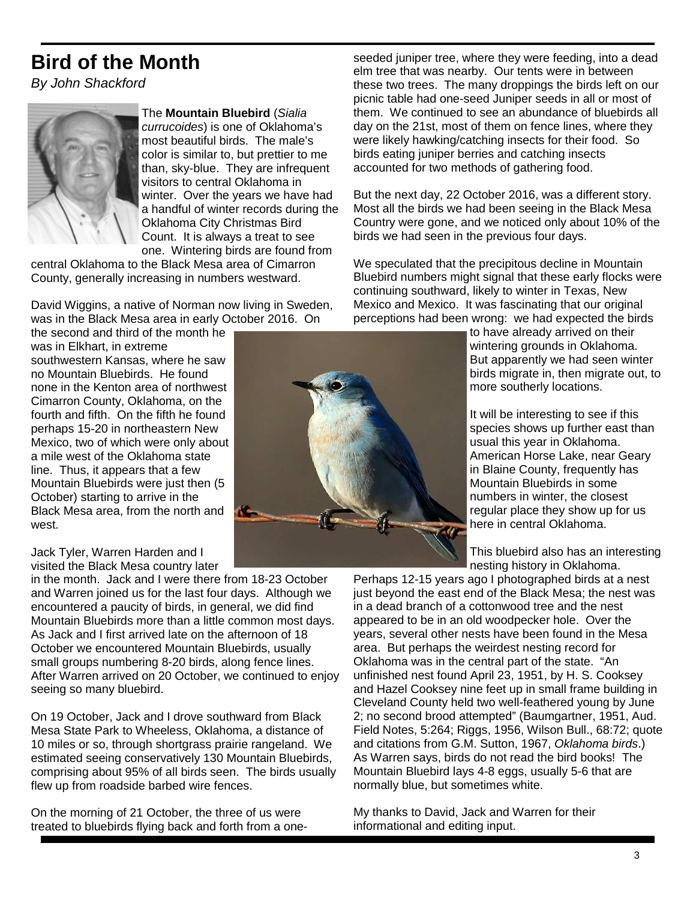# **Bird of the Month**

By John Shackford



The **Mountain Bluebird** (Sialia currucoides) is one of Oklahoma's most beautiful birds. The male's color is similar to, but prettier to me than, sky-blue. They are infrequent visitors to central Oklahoma in winter. Over the years we have had a handful of winter records during the Oklahoma City Christmas Bird Count. It is always a treat to see one. Wintering birds are found from

central Oklahoma to the Black Mesa area of Cimarron County, generally increasing in numbers westward.

David Wiggins, a native of Norman now living in Sweden, was in the Black Mesa area in early October 2016. On

the second and third of the month he was in Flkhart, in extreme southwestern Kansas, where he saw no Mountain Bluebirds. He found none in the Kenton area of northwest Cimarron County, Oklahoma, on the fourth and fifth. On the fifth he found perhaps 15-20 in northeastern New Mexico, two of which were only about a mile west of the Oklahoma state line. Thus, it appears that a few Mountain Bluebirds were just then (5 October) starting to arrive in the Black Mesa area, from the north and west.

Jack Tyler, Warren Harden and I visited the Black Mesa country later

in the month. Jack and I were there from 18-23 October and Warren joined us for the last four days. Although we encountered a paucity of birds, in general, we did find Mountain Bluebirds more than a little common most days. As Jack and I first arrived late on the afternoon of 18 October we encountered Mountain Bluebirds, usually small groups numbering 8-20 birds, along fence lines. After Warren arrived on 20 October, we continued to enjoy seeing so many bluebird.

On 19 October, Jack and I drove southward from Black Mesa State Park to Wheeless, Oklahoma, a distance of 10 miles or so, through shortgrass prairie rangeland. We estimated seeing conservatively 130 Mountain Bluebirds, comprising about 95% of all birds seen. The birds usually flew up from roadside barbed wire fences.

On the morning of 21 October, the three of us were treated to bluebirds flying back and forth from a one-

seeded juniper tree, where they were feeding, into a dead elm tree that was nearby. Our tents were in between these two trees. The many droppings the birds left on our picnic table had one-seed Juniper seeds in all or most of them. We continued to see an abundance of bluebirds all day on the 21st, most of them on fence lines, where they were likely hawking/catching insects for their food. So birds eating juniper berries and catching insects accounted for two methods of gathering food.

But the next day, 22 October 2016, was a different story. Most all the birds we had been seeing in the Black Mesa Country were gone, and we noticed only about 10% of the birds we had seen in the previous four days.

We speculated that the precipitous decline in Mountain Bluebird numbers might signal that these early flocks were continuing southward, likely to winter in Texas, New Mexico and Mexico. It was fascinating that our original perceptions had been wrong: we had expected the birds

> to have already arrived on their wintering grounds in Oklahoma. But apparently we had seen winter birds migrate in, then migrate out, to more southerly locations.

It will be interesting to see if this species shows up further east than usual this year in Oklahoma. American Horse Lake, near Geary in Blaine County, frequently has Mountain Bluebirds in some numbers in winter, the closest regular place they show up for us here in central Oklahoma.

This bluebird also has an interesting nesting history in Oklahoma.

Perhaps 12-15 years ago I photographed birds at a nest just beyond the east end of the Black Mesa; the nest was in a dead branch of a cottonwood tree and the nest appeared to be in an old woodpecker hole. Over the years, several other nests have been found in the Mesa area. But perhaps the weirdest nesting record for Oklahoma was in the central part of the state. "An unfinished nest found April 23, 1951, by H. S. Cooksey and Hazel Cooksey nine feet up in small frame building in Cleveland County held two well-feathered young by June 2; no second brood attempted" (Baumgartner, 1951, Aud. Field Notes, 5:264; Riggs, 1956, Wilson Bull., 68:72; quote and citations from G.M. Sutton, 1967, Oklahoma birds.) As Warren says, birds do not read the bird books! The Mountain Bluebird lays 4-8 eggs, usually 5-6 that are normally blue, but sometimes white.

My thanks to David, Jack and Warren for their informational and editing input.

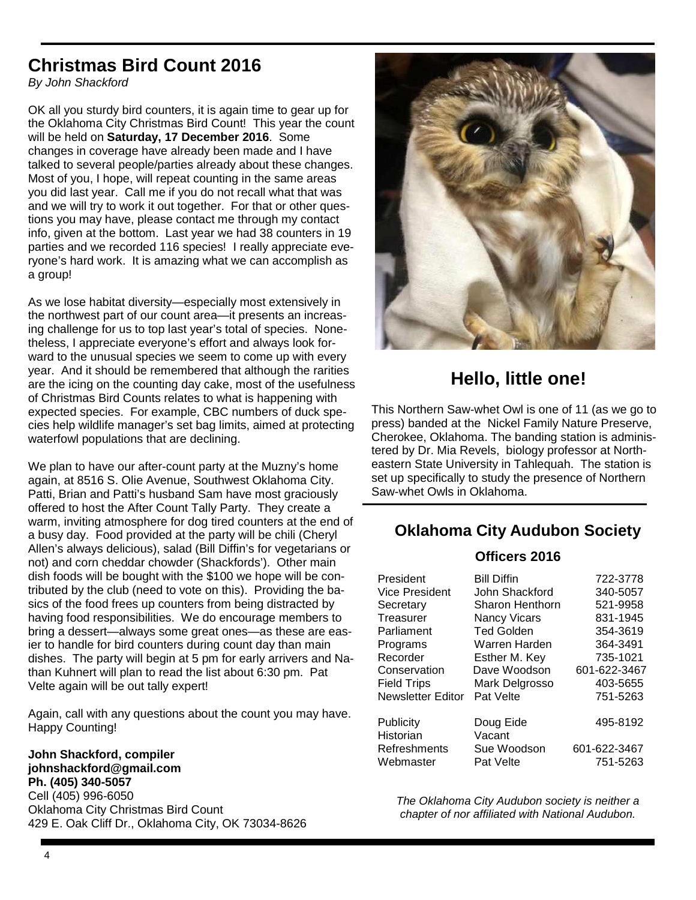# **Christmas Bird Count 2016**

By John Shackford

OK all you sturdy bird counters, it is again time to gear up for the Oklahoma City Christmas Bird Count! This year the count will be held on **Saturday, 17 December 2016**. Some changes in coverage have already been made and I have talked to several people/parties already about these changes. Most of you, I hope, will repeat counting in the same areas you did last year. Call me if you do not recall what that was and we will try to work it out together. For that or other questions you may have, please contact me through my contact info, given at the bottom. Last year we had 38 counters in 19 parties and we recorded 116 species! I really appreciate everyone's hard work. It is amazing what we can accomplish as a group!

As we lose habitat diversity—especially most extensively in the northwest part of our count area—it presents an increasing challenge for us to top last year's total of species. Nonetheless, I appreciate everyone's effort and always look forward to the unusual species we seem to come up with every year. And it should be remembered that although the rarities are the icing on the counting day cake, most of the usefulness of Christmas Bird Counts relates to what is happening with expected species. For example, CBC numbers of duck species help wildlife manager's set bag limits, aimed at protecting waterfowl populations that are declining.

We plan to have our after-count party at the Muzny's home again, at 8516 S. Olie Avenue, Southwest Oklahoma City. Patti, Brian and Patti's husband Sam have most graciously offered to host the After Count Tally Party. They create a warm, inviting atmosphere for dog tired counters at the end of a busy day. Food provided at the party will be chili (Cheryl Allen's always delicious), salad (Bill Diffin's for vegetarians or not) and corn cheddar chowder (Shackfords'). Other main dish foods will be bought with the \$100 we hope will be contributed by the club (need to vote on this). Providing the basics of the food frees up counters from being distracted by having food responsibilities. We do encourage members to bring a dessert—always some great ones—as these are easier to handle for bird counters during count day than main dishes. The party will begin at 5 pm for early arrivers and Nathan Kuhnert will plan to read the list about 6:30 pm. Pat Velte again will be out tally expert!

Again, call with any questions about the count you may have. Happy Counting!

**John Shackford, compiler johnshackford@gmail.com Ph. (405) 340-5057**  Cell (405) 996-6050 Oklahoma City Christmas Bird Count 429 E. Oak Cliff Dr., Oklahoma City, OK 73034-8626



# **Hello, little one!**

This Northern Saw-whet Owl is one of 11 (as we go to press) banded at the Nickel Family Nature Preserve, Cherokee, Oklahoma. The banding station is administered by Dr. Mia Revels, biology professor at Northeastern State University in Tahlequah. The station is set up specifically to study the presence of Northern Saw-whet Owls in Oklahoma.

### **Oklahoma City Audubon Society**

#### **Officers 2016**

| President                | <b>Bill Diffin</b>  | 722-3778     |
|--------------------------|---------------------|--------------|
| Vice President           | John Shackford      | 340-5057     |
| Secretary                | Sharon Henthorn     | 521-9958     |
| Treasurer                | <b>Nancy Vicars</b> | 831-1945     |
| Parliament               | <b>Ted Golden</b>   | 354-3619     |
| Programs                 | Warren Harden       | 364-3491     |
| Recorder                 | Esther M. Key       | 735-1021     |
| Conservation             | Dave Woodson        | 601-622-3467 |
| <b>Field Trips</b>       | Mark Delgrosso      | 403-5655     |
| <b>Newsletter Editor</b> | Pat Velte           | 751-5263     |
| Publicity<br>Historian   | Doug Eide<br>Vacant | 495-8192     |
| Refreshments             | Sue Woodson         | 601-622-3467 |
| Webmaster                | Pat Velte           | 751-5263     |

The Oklahoma City Audubon society is neither a chapter of nor affiliated with National Audubon.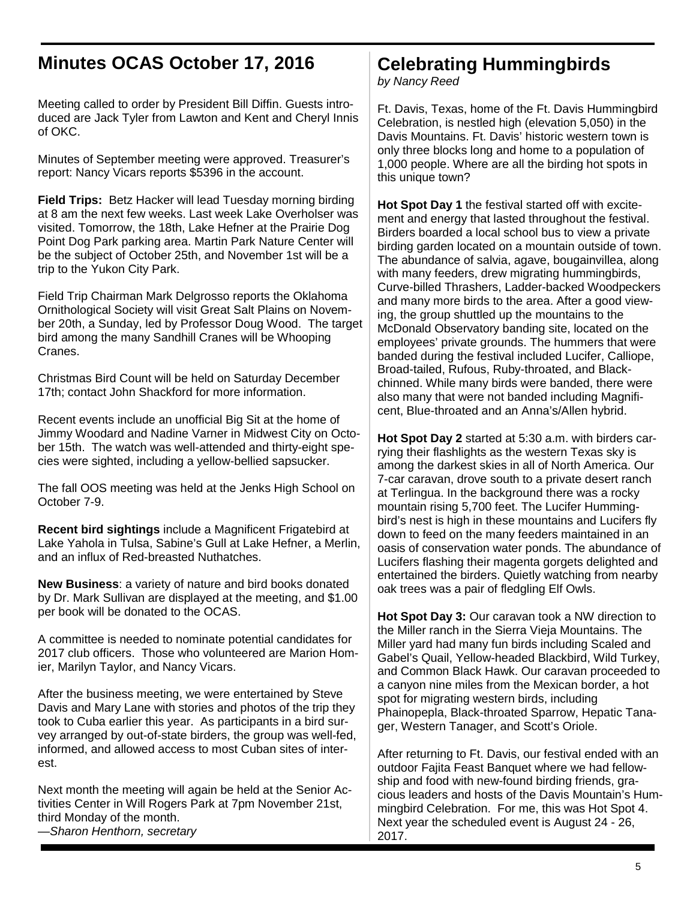# **Minutes OCAS October 17, 2016**

Meeting called to order by President Bill Diffin. Guests introduced are Jack Tyler from Lawton and Kent and Cheryl Innis of OKC.

Minutes of September meeting were approved. Treasurer's report: Nancy Vicars reports \$5396 in the account.

**Field Trips:** Betz Hacker will lead Tuesday morning birding at 8 am the next few weeks. Last week Lake Overholser was visited. Tomorrow, the 18th, Lake Hefner at the Prairie Dog Point Dog Park parking area. Martin Park Nature Center will be the subject of October 25th, and November 1st will be a trip to the Yukon City Park.

Field Trip Chairman Mark Delgrosso reports the Oklahoma Ornithological Society will visit Great Salt Plains on November 20th, a Sunday, led by Professor Doug Wood. The target bird among the many Sandhill Cranes will be Whooping Cranes.

Christmas Bird Count will be held on Saturday December 17th; contact John Shackford for more information.

Recent events include an unofficial Big Sit at the home of Jimmy Woodard and Nadine Varner in Midwest City on October 15th. The watch was well-attended and thirty-eight species were sighted, including a yellow-bellied sapsucker.

The fall OOS meeting was held at the Jenks High School on October 7-9.

**Recent bird sightings** include a Magnificent Frigatebird at Lake Yahola in Tulsa, Sabine's Gull at Lake Hefner, a Merlin, and an influx of Red-breasted Nuthatches.

**New Business**: a variety of nature and bird books donated by Dr. Mark Sullivan are displayed at the meeting, and \$1.00 per book will be donated to the OCAS.

A committee is needed to nominate potential candidates for 2017 club officers. Those who volunteered are Marion Homier, Marilyn Taylor, and Nancy Vicars.

After the business meeting, we were entertained by Steve Davis and Mary Lane with stories and photos of the trip they took to Cuba earlier this year. As participants in a bird survey arranged by out-of-state birders, the group was well-fed, informed, and allowed access to most Cuban sites of interest.

Next month the meeting will again be held at the Senior Activities Center in Will Rogers Park at 7pm November 21st, third Monday of the month.

#### —Sharon Henthorn, secretary

# **Celebrating Hummingbirds**

by Nancy Reed

Ft. Davis, Texas, home of the Ft. Davis Hummingbird Celebration, is nestled high (elevation 5,050) in the Davis Mountains. Ft. Davis' historic western town is only three blocks long and home to a population of 1,000 people. Where are all the birding hot spots in this unique town?

**Hot Spot Day 1** the festival started off with excitement and energy that lasted throughout the festival. Birders boarded a local school bus to view a private birding garden located on a mountain outside of town. The abundance of salvia, agave, bougainvillea, along with many feeders, drew migrating hummingbirds, Curve-billed Thrashers, Ladder-backed Woodpeckers and many more birds to the area. After a good viewing, the group shuttled up the mountains to the McDonald Observatory banding site, located on the employees' private grounds. The hummers that were banded during the festival included Lucifer, Calliope, Broad-tailed, Rufous, Ruby-throated, and Blackchinned. While many birds were banded, there were also many that were not banded including Magnificent, Blue-throated and an Anna's/Allen hybrid.

**Hot Spot Day 2** started at 5:30 a.m. with birders carrying their flashlights as the western Texas sky is among the darkest skies in all of North America. Our 7-car caravan, drove south to a private desert ranch at Terlingua. In the background there was a rocky mountain rising 5,700 feet. The Lucifer Hummingbird's nest is high in these mountains and Lucifers fly down to feed on the many feeders maintained in an oasis of conservation water ponds. The abundance of Lucifers flashing their magenta gorgets delighted and entertained the birders. Quietly watching from nearby oak trees was a pair of fledgling Elf Owls.

**Hot Spot Day 3:** Our caravan took a NW direction to the Miller ranch in the Sierra Vieja Mountains. The Miller yard had many fun birds including Scaled and Gabel's Quail, Yellow-headed Blackbird, Wild Turkey, and Common Black Hawk. Our caravan proceeded to a canyon nine miles from the Mexican border, a hot spot for migrating western birds, including Phainopepla, Black-throated Sparrow, Hepatic Tanager, Western Tanager, and Scott's Oriole.

After returning to Ft. Davis, our festival ended with an outdoor Fajita Feast Banquet where we had fellowship and food with new-found birding friends, gracious leaders and hosts of the Davis Mountain's Hummingbird Celebration. For me, this was Hot Spot 4. Next year the scheduled event is August 24 - 26, 2017.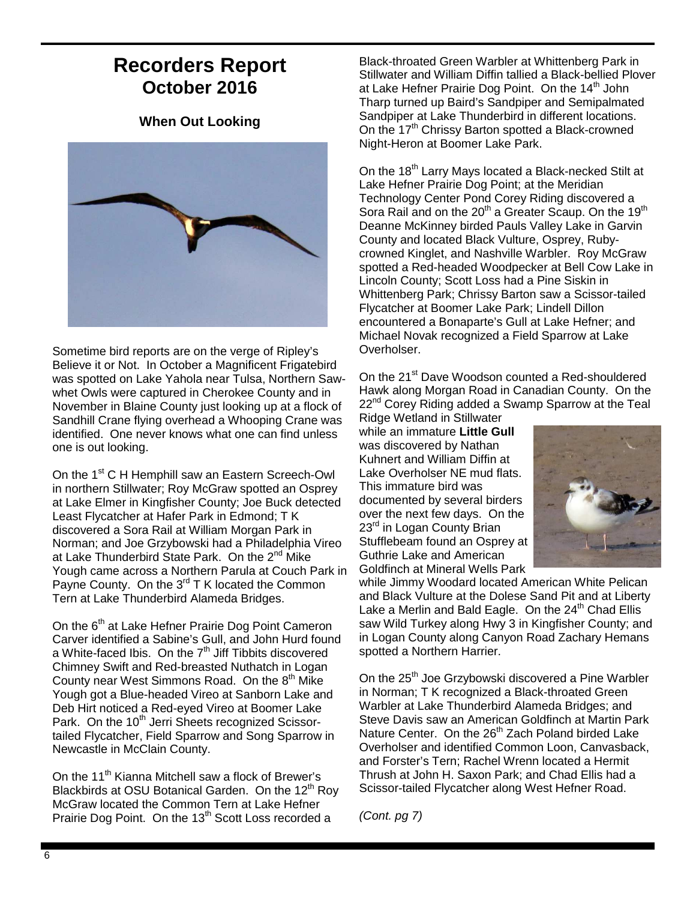# **Recorders Report October 2016**

#### **When Out Looking**



Sometime bird reports are on the verge of Ripley's Believe it or Not. In October a Magnificent Frigatebird was spotted on Lake Yahola near Tulsa, Northern Sawwhet Owls were captured in Cherokee County and in November in Blaine County just looking up at a flock of Sandhill Crane flying overhead a Whooping Crane was identified. One never knows what one can find unless one is out looking.

On the 1<sup>st</sup> C H Hemphill saw an Eastern Screech-Owl in northern Stillwater; Roy McGraw spotted an Osprey at Lake Elmer in Kingfisher County; Joe Buck detected Least Flycatcher at Hafer Park in Edmond; T K discovered a Sora Rail at William Morgan Park in Norman; and Joe Grzybowski had a Philadelphia Vireo at Lake Thunderbird State Park. On the 2<sup>nd</sup> Mike Yough came across a Northern Parula at Couch Park in Payne County. On the  $3^{rd}$  T K located the Common Tern at Lake Thunderbird Alameda Bridges.

On the 6<sup>th</sup> at Lake Hefner Prairie Dog Point Cameron Carver identified a Sabine's Gull, and John Hurd found a White-faced Ibis. On the  $7<sup>th</sup>$  Jiff Tibbits discovered Chimney Swift and Red-breasted Nuthatch in Logan County near West Simmons Road. On the 8<sup>th</sup> Mike Yough got a Blue-headed Vireo at Sanborn Lake and Deb Hirt noticed a Red-eyed Vireo at Boomer Lake Park. On the 10<sup>th</sup> Jerri Sheets recognized Scissortailed Flycatcher, Field Sparrow and Song Sparrow in Newcastle in McClain County.

On the 11<sup>th</sup> Kianna Mitchell saw a flock of Brewer's Blackbirds at OSU Botanical Garden. On the 12<sup>th</sup> Roy McGraw located the Common Tern at Lake Hefner Prairie Dog Point. On the 13<sup>th</sup> Scott Loss recorded a

Black-throated Green Warbler at Whittenberg Park in Stillwater and William Diffin tallied a Black-bellied Plover at Lake Hefner Prairie Dog Point. On the 14<sup>th</sup> John Tharp turned up Baird's Sandpiper and Semipalmated Sandpiper at Lake Thunderbird in different locations. On the  $17<sup>th</sup>$  Chrissy Barton spotted a Black-crowned Night-Heron at Boomer Lake Park.

On the 18<sup>th</sup> Larry Mays located a Black-necked Stilt at Lake Hefner Prairie Dog Point; at the Meridian Technology Center Pond Corey Riding discovered a Sora Rail and on the 20<sup>th</sup> a Greater Scaup. On the 19<sup>th</sup> Deanne McKinney birded Pauls Valley Lake in Garvin County and located Black Vulture, Osprey, Rubycrowned Kinglet, and Nashville Warbler. Roy McGraw spotted a Red-headed Woodpecker at Bell Cow Lake in Lincoln County; Scott Loss had a Pine Siskin in Whittenberg Park; Chrissy Barton saw a Scissor-tailed Flycatcher at Boomer Lake Park; Lindell Dillon encountered a Bonaparte's Gull at Lake Hefner; and Michael Novak recognized a Field Sparrow at Lake Overholser.

On the 21<sup>st</sup> Dave Woodson counted a Red-shouldered Hawk along Morgan Road in Canadian County. On the 22<sup>nd</sup> Corey Riding added a Swamp Sparrow at the Teal

Ridge Wetland in Stillwater while an immature **Little Gull** was discovered by Nathan Kuhnert and William Diffin at Lake Overholser NE mud flats. This immature bird was documented by several birders over the next few days. On the 23<sup>rd</sup> in Logan County Brian Stufflebeam found an Osprey at Guthrie Lake and American Goldfinch at Mineral Wells Park



while Jimmy Woodard located American White Pelican and Black Vulture at the Dolese Sand Pit and at Liberty Lake a Merlin and Bald Eagle. On the  $24<sup>th</sup>$  Chad Ellis saw Wild Turkey along Hwy 3 in Kingfisher County; and in Logan County along Canyon Road Zachary Hemans spotted a Northern Harrier.

On the 25<sup>th</sup> Joe Grzybowski discovered a Pine Warbler in Norman; T K recognized a Black-throated Green Warbler at Lake Thunderbird Alameda Bridges; and Steve Davis saw an American Goldfinch at Martin Park Nature Center. On the 26<sup>th</sup> Zach Poland birded Lake Overholser and identified Common Loon, Canvasback, and Forster's Tern; Rachel Wrenn located a Hermit Thrush at John H. Saxon Park; and Chad Ellis had a Scissor-tailed Flycatcher along West Hefner Road.

(Cont. pg 7)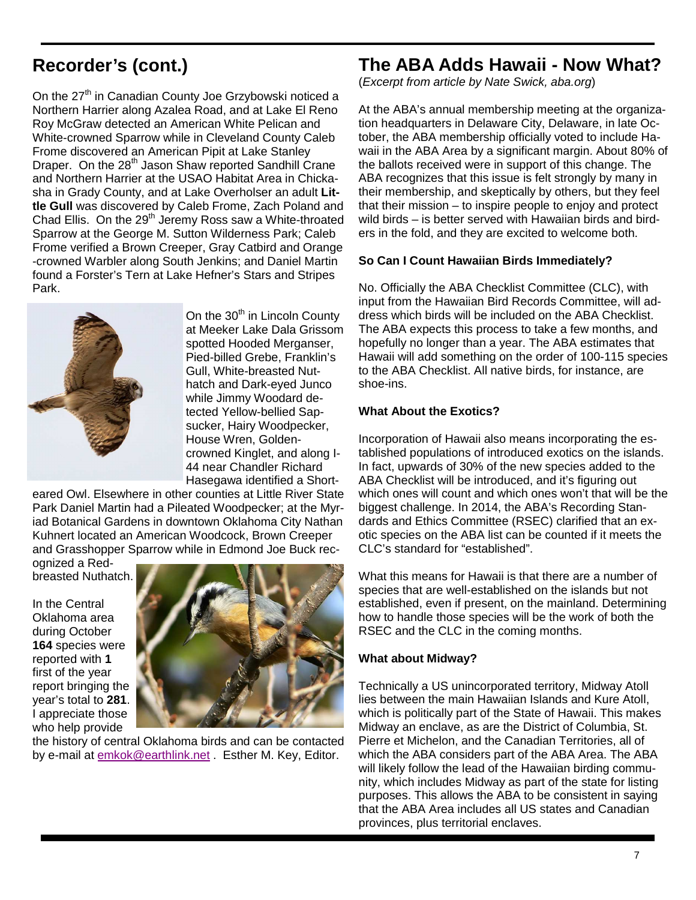# **Recorder's (cont.)**

On the 27<sup>th</sup> in Canadian County Joe Grzybowski noticed a Northern Harrier along Azalea Road, and at Lake El Reno Roy McGraw detected an American White Pelican and White-crowned Sparrow while in Cleveland County Caleb Frome discovered an American Pipit at Lake Stanley Draper. On the 28<sup>th</sup> Jason Shaw reported Sandhill Crane and Northern Harrier at the USAO Habitat Area in Chickasha in Grady County, and at Lake Overholser an adult **Little Gull** was discovered by Caleb Frome, Zach Poland and Chad Ellis. On the  $29<sup>th</sup>$  Jeremy Ross saw a White-throated Sparrow at the George M. Sutton Wilderness Park; Caleb Frome verified a Brown Creeper, Gray Catbird and Orange -crowned Warbler along South Jenkins; and Daniel Martin found a Forster's Tern at Lake Hefner's Stars and Stripes Park.



On the 30<sup>th</sup> in Lincoln County at Meeker Lake Dala Grissom spotted Hooded Merganser, Pied-billed Grebe, Franklin's Gull, White-breasted Nuthatch and Dark-eyed Junco while Jimmy Woodard detected Yellow-bellied Sapsucker, Hairy Woodpecker, House Wren, Goldencrowned Kinglet, and along I-44 near Chandler Richard Hasegawa identified a Short-

eared Owl. Elsewhere in other counties at Little River State Park Daniel Martin had a Pileated Woodpecker; at the Myriad Botanical Gardens in downtown Oklahoma City Nathan Kuhnert located an American Woodcock, Brown Creeper and Grasshopper Sparrow while in Edmond Joe Buck rec-

ognized a Redbreasted Nuthatch.

In the Central Oklahoma area during October **164** species were reported with **1**  first of the year report bringing the year's total to **281**. I appreciate those who help provide



the history of central Oklahoma birds and can be contacted by e-mail at emkok@earthlink.net . Esther M. Key, Editor.

## **The ABA Adds Hawaii - Now What?**

(Excerpt from article by Nate Swick, aba.org)

At the ABA's annual membership meeting at the organization headquarters in Delaware City, Delaware, in late October, the ABA membership officially voted to include Hawaii in the ABA Area by a significant margin. About 80% of the ballots received were in support of this change. The ABA recognizes that this issue is felt strongly by many in their membership, and skeptically by others, but they feel that their mission – to inspire people to enjoy and protect wild birds – is better served with Hawaiian birds and birders in the fold, and they are excited to welcome both.

#### **So Can I Count Hawaiian Birds Immediately?**

No. Officially the ABA Checklist Committee (CLC), with input from the Hawaiian Bird Records Committee, will address which birds will be included on the ABA Checklist. The ABA expects this process to take a few months, and hopefully no longer than a year. The ABA estimates that Hawaii will add something on the order of 100-115 species to the ABA Checklist. All native birds, for instance, are shoe-ins.

#### **What About the Exotics?**

Incorporation of Hawaii also means incorporating the established populations of introduced exotics on the islands. In fact, upwards of 30% of the new species added to the ABA Checklist will be introduced, and it's figuring out which ones will count and which ones won't that will be the biggest challenge. In 2014, the ABA's Recording Standards and Ethics Committee (RSEC) clarified that an exotic species on the ABA list can be counted if it meets the CLC's standard for "established".

What this means for Hawaii is that there are a number of species that are well-established on the islands but not established, even if present, on the mainland. Determining how to handle those species will be the work of both the RSEC and the CLC in the coming months.

#### **What about Midway?**

Technically a US unincorporated territory, Midway Atoll lies between the main Hawaiian Islands and Kure Atoll, which is politically part of the State of Hawaii. This makes Midway an enclave, as are the District of Columbia, St. Pierre et Michelon, and the Canadian Territories, all of which the ABA considers part of the ABA Area. The ABA will likely follow the lead of the Hawaiian birding community, which includes Midway as part of the state for listing purposes. This allows the ABA to be consistent in saying that the ABA Area includes all US states and Canadian provinces, plus territorial enclaves.